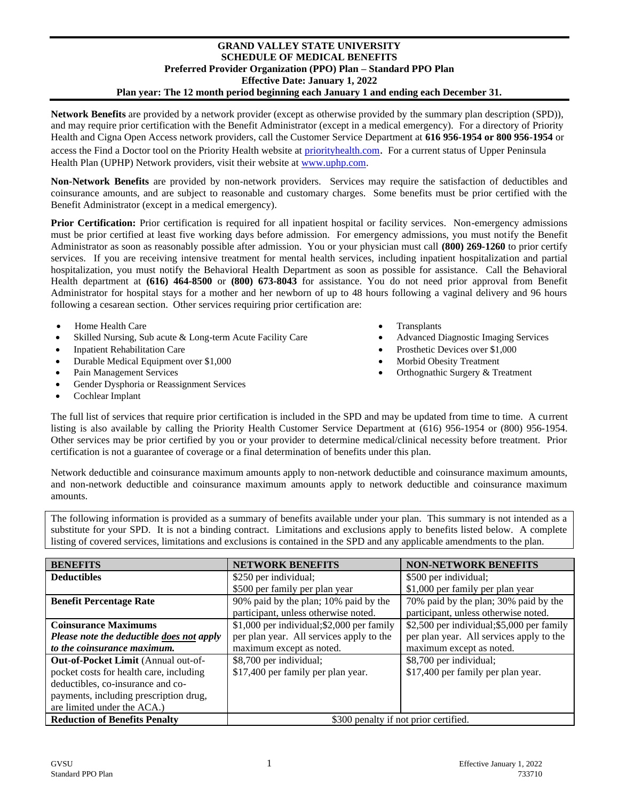## **GRAND VALLEY STATE UNIVERSITY SCHEDULE OF MEDICAL BENEFITS Preferred Provider Organization (PPO) Plan – Standard PPO Plan Effective Date: January 1, 2022 Plan year: The 12 month period beginning each January 1 and ending each December 31.**

**Network Benefits** are provided by a network provider (except as otherwise provided by the summary plan description (SPD)), and may require prior certification with the Benefit Administrator (except in a medical emergency). For a directory of Priority Health and Cigna Open Access network providers, call the Customer Service Department at **616 956-1954 or 800 956-1954** or access the Find a Doctor tool on the Priority Health website at [priorityhealth.com](file://///phsdata/global/Legal/ASO%20Plan%20Document%20templates/SCHEDULE%20OF%20BENEFITS%20MASTERS/2017/priorityhealth.com). For a current status of Upper Peninsula Health Plan (UPHP) Network providers, visit their website at [www.uphp.com.](http://www.uphp.com/)

**Non-Network Benefits** are provided by non-network providers. Services may require the satisfaction of deductibles and coinsurance amounts, and are subject to reasonable and customary charges. Some benefits must be prior certified with the Benefit Administrator (except in a medical emergency).

**Prior Certification:** Prior certification is required for all inpatient hospital or facility services. Non-emergency admissions must be prior certified at least five working days before admission. For emergency admissions, you must notify the Benefit Administrator as soon as reasonably possible after admission. You or your physician must call **(800) 269-1260** to prior certify services. If you are receiving intensive treatment for mental health services, including inpatient hospitalization and partial hospitalization, you must notify the Behavioral Health Department as soon as possible for assistance. Call the Behavioral Health department at **(616) 464-8500** or **(800) 673-8043** for assistance. You do not need prior approval from Benefit Administrator for hospital stays for a mother and her newborn of up to 48 hours following a vaginal delivery and 96 hours following a cesarean section. Other services requiring prior certification are:

- Home Health Care Transplants
- Skilled Nursing, Sub acute & Long-term Acute Facility Care Advanced Diagnostic Imaging Services
- 
- Durable Medical Equipment over \$1,000 Morbid Obesity Treatment
- 
- Gender Dysphoria or Reassignment Services
- Cochlear Implant
- 
- 
- Inpatient Rehabilitation Care Prosthetic Devices over \$1,000
	-
- Pain Management Services Orthognathic Surgery & Treatment

The full list of services that require prior certification is included in the SPD and may be updated from time to time. A current listing is also available by calling the Priority Health Customer Service Department at (616) 956-1954 or (800) 956-1954. Other services may be prior certified by you or your provider to determine medical/clinical necessity before treatment. Prior certification is not a guarantee of coverage or a final determination of benefits under this plan.

Network deductible and coinsurance maximum amounts apply to non-network deductible and coinsurance maximum amounts, and non-network deductible and coinsurance maximum amounts apply to network deductible and coinsurance maximum amounts.

The following information is provided as a summary of benefits available under your plan. This summary is not intended as a substitute for your SPD. It is not a binding contract. Limitations and exclusions apply to benefits listed below. A complete listing of covered services, limitations and exclusions is contained in the SPD and any applicable amendments to the plan.

| <b>BENEFITS</b>                            | <b>NETWORK BENEFITS</b>                    | <b>NON-NETWORK BENEFITS</b>                |
|--------------------------------------------|--------------------------------------------|--------------------------------------------|
| <b>Deductibles</b>                         | \$250 per individual;                      | \$500 per individual;                      |
|                                            | \$500 per family per plan year             | \$1,000 per family per plan year           |
| <b>Benefit Percentage Rate</b>             | 90% paid by the plan; 10% paid by the      | 70% paid by the plan; 30% paid by the      |
|                                            | participant, unless otherwise noted.       | participant, unless otherwise noted.       |
| <b>Coinsurance Maximums</b>                | \$1,000 per individual; \$2,000 per family | \$2,500 per individual; \$5,000 per family |
| Please note the deductible does not apply  | per plan year. All services apply to the   | per plan year. All services apply to the   |
| to the coinsurance maximum.                | maximum except as noted.                   | maximum except as noted.                   |
| <b>Out-of-Pocket Limit (Annual out-of-</b> | \$8,700 per individual;                    | \$8,700 per individual;                    |
| pocket costs for health care, including    | \$17,400 per family per plan year.         | \$17,400 per family per plan year.         |
| deductibles, co-insurance and co-          |                                            |                                            |
| payments, including prescription drug,     |                                            |                                            |
| are limited under the ACA.)                |                                            |                                            |
| <b>Reduction of Benefits Penalty</b>       | \$300 penalty if not prior certified.      |                                            |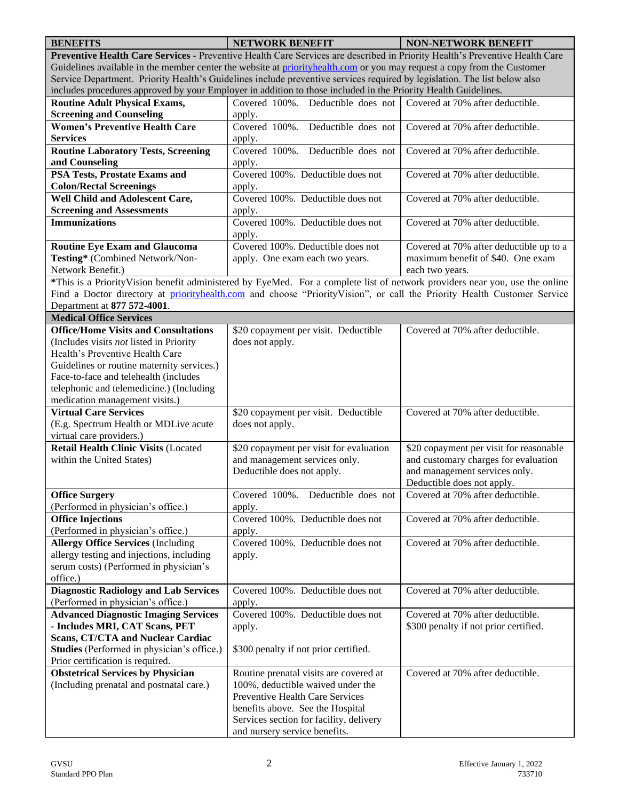| <b>BENEFITS</b>                                                                                                             | <b>NETWORK BENEFIT</b>                  | <b>NON-NETWORK BENEFIT</b>              |  |
|-----------------------------------------------------------------------------------------------------------------------------|-----------------------------------------|-----------------------------------------|--|
| Preventive Health Care Services - Preventive Health Care Services are described in Priority Health's Preventive Health Care |                                         |                                         |  |
| Guidelines available in the member center the website at priorityhealth.com or you may request a copy from the Customer     |                                         |                                         |  |
| Service Department. Priority Health's Guidelines include preventive services required by legislation. The list below also   |                                         |                                         |  |
| includes procedures approved by your Employer in addition to those included in the Priority Health Guidelines.              |                                         |                                         |  |
| <b>Routine Adult Physical Exams,</b>                                                                                        | Covered 100%. Deductible does not       | Covered at 70% after deductible.        |  |
| <b>Screening and Counseling</b>                                                                                             | apply.                                  |                                         |  |
| <b>Women's Preventive Health Care</b>                                                                                       | Covered 100%.<br>Deductible does not    | Covered at 70% after deductible.        |  |
| <b>Services</b>                                                                                                             | apply.                                  |                                         |  |
| <b>Routine Laboratory Tests, Screening</b>                                                                                  | Covered 100%. Deductible does not       | Covered at 70% after deductible.        |  |
| and Counseling                                                                                                              | apply.                                  |                                         |  |
| <b>PSA Tests, Prostate Exams and</b>                                                                                        | Covered 100%. Deductible does not       | Covered at 70% after deductible.        |  |
| <b>Colon/Rectal Screenings</b>                                                                                              | apply.                                  |                                         |  |
| Well Child and Adolescent Care,                                                                                             | Covered 100%. Deductible does not       | Covered at 70% after deductible.        |  |
| <b>Screening and Assessments</b>                                                                                            | apply.                                  |                                         |  |
| <b>Immunizations</b>                                                                                                        | Covered 100%. Deductible does not       | Covered at 70% after deductible.        |  |
|                                                                                                                             | apply.                                  |                                         |  |
| <b>Routine Eye Exam and Glaucoma</b>                                                                                        | Covered 100%. Deductible does not       | Covered at 70% after deductible up to a |  |
| Testing* (Combined Network/Non-                                                                                             | apply. One exam each two years.         | maximum benefit of \$40. One exam       |  |
| Network Benefit.)                                                                                                           |                                         | each two years.                         |  |
| *This is a PriorityVision benefit administered by EyeMed. For a complete list of network providers near you, use the online |                                         |                                         |  |
| Find a Doctor directory at priorityhealth.com and choose "PriorityVision", or call the Priority Health Customer Service     |                                         |                                         |  |
| Department at 877 572-4001.                                                                                                 |                                         |                                         |  |
| <b>Medical Office Services</b>                                                                                              |                                         |                                         |  |
| <b>Office/Home Visits and Consultations</b>                                                                                 | \$20 copayment per visit. Deductible    | Covered at 70% after deductible.        |  |
| (Includes visits not listed in Priority                                                                                     | does not apply.                         |                                         |  |
| Health's Preventive Health Care                                                                                             |                                         |                                         |  |
| Guidelines or routine maternity services.)                                                                                  |                                         |                                         |  |
| Face-to-face and telehealth (includes                                                                                       |                                         |                                         |  |
| telephonic and telemedicine.) (Including                                                                                    |                                         |                                         |  |
| medication management visits.)                                                                                              |                                         |                                         |  |
| <b>Virtual Care Services</b>                                                                                                | \$20 copayment per visit. Deductible    | Covered at 70% after deductible.        |  |
| (E.g. Spectrum Health or MDLive acute                                                                                       | does not apply.                         |                                         |  |
| virtual care providers.)                                                                                                    |                                         |                                         |  |
| <b>Retail Health Clinic Visits (Located</b>                                                                                 | \$20 copayment per visit for evaluation | \$20 copayment per visit for reasonable |  |
| within the United States)                                                                                                   | and management services only.           | and customary charges for evaluation    |  |
|                                                                                                                             | Deductible does not apply.              | and management services only.           |  |
|                                                                                                                             |                                         | Deductible does not apply.              |  |
| <b>Office Surgery</b>                                                                                                       | Covered 100%.<br>Deductible does not    | Covered at 70% after deductible.        |  |
| (Performed in physician's office.)                                                                                          | apply.                                  |                                         |  |
| <b>Office Injections</b>                                                                                                    | Covered 100%. Deductible does not       | Covered at 70% after deductible.        |  |
| (Performed in physician's office.)                                                                                          | apply.                                  |                                         |  |
| <b>Allergy Office Services (Including</b>                                                                                   | Covered 100%. Deductible does not       | Covered at 70% after deductible.        |  |
| allergy testing and injections, including                                                                                   |                                         |                                         |  |
|                                                                                                                             | apply.                                  |                                         |  |
| serum costs) (Performed in physician's<br>office.)                                                                          |                                         |                                         |  |
|                                                                                                                             |                                         |                                         |  |
| <b>Diagnostic Radiology and Lab Services</b>                                                                                | Covered 100%. Deductible does not       | Covered at 70% after deductible.        |  |
| (Performed in physician's office.)                                                                                          | apply.                                  |                                         |  |
| <b>Advanced Diagnostic Imaging Services</b>                                                                                 | Covered 100%. Deductible does not       | Covered at 70% after deductible.        |  |
| - Includes MRI, CAT Scans, PET                                                                                              | apply.                                  | \$300 penalty if not prior certified.   |  |
| <b>Scans, CT/CTA and Nuclear Cardiac</b>                                                                                    |                                         |                                         |  |
| Studies (Performed in physician's office.)                                                                                  | \$300 penalty if not prior certified.   |                                         |  |
| Prior certification is required.                                                                                            |                                         |                                         |  |
| <b>Obstetrical Services by Physician</b>                                                                                    | Routine prenatal visits are covered at  | Covered at 70% after deductible.        |  |
| (Including prenatal and postnatal care.)                                                                                    | 100%, deductible waived under the       |                                         |  |
|                                                                                                                             | Preventive Health Care Services         |                                         |  |
|                                                                                                                             | benefits above. See the Hospital        |                                         |  |
|                                                                                                                             | Services section for facility, delivery |                                         |  |
|                                                                                                                             | and nursery service benefits.           |                                         |  |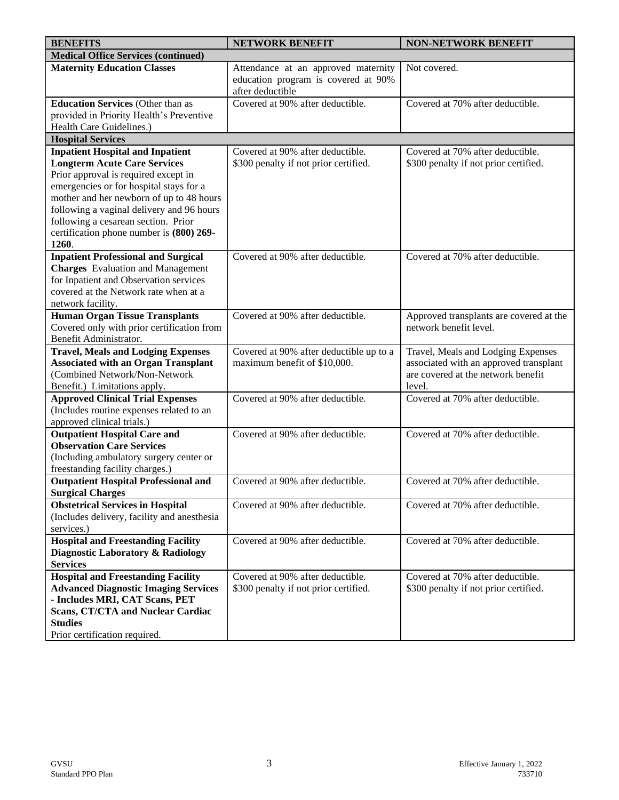| <b>BENEFITS</b>                                                                        | <b>NETWORK BENEFIT</b>                                  | <b>NON-NETWORK BENEFIT</b>              |
|----------------------------------------------------------------------------------------|---------------------------------------------------------|-----------------------------------------|
| <b>Medical Office Services (continued)</b>                                             |                                                         |                                         |
| <b>Maternity Education Classes</b>                                                     | Attendance at an approved maternity                     | Not covered.                            |
|                                                                                        | education program is covered at 90%<br>after deductible |                                         |
| <b>Education Services (Other than as</b>                                               | Covered at 90% after deductible.                        | Covered at 70% after deductible.        |
| provided in Priority Health's Preventive                                               |                                                         |                                         |
| Health Care Guidelines.)                                                               |                                                         |                                         |
| <b>Hospital Services</b>                                                               |                                                         |                                         |
| <b>Inpatient Hospital and Inpatient</b>                                                | Covered at 90% after deductible.                        | Covered at 70% after deductible.        |
| <b>Longterm Acute Care Services</b>                                                    | \$300 penalty if not prior certified.                   | \$300 penalty if not prior certified.   |
| Prior approval is required except in                                                   |                                                         |                                         |
| emergencies or for hospital stays for a                                                |                                                         |                                         |
| mother and her newborn of up to 48 hours                                               |                                                         |                                         |
| following a vaginal delivery and 96 hours                                              |                                                         |                                         |
| following a cesarean section. Prior                                                    |                                                         |                                         |
| certification phone number is (800) 269-<br>1260.                                      |                                                         |                                         |
|                                                                                        | Covered at 90% after deductible.                        | Covered at 70% after deductible.        |
| <b>Inpatient Professional and Surgical</b><br><b>Charges</b> Evaluation and Management |                                                         |                                         |
| for Inpatient and Observation services                                                 |                                                         |                                         |
| covered at the Network rate when at a                                                  |                                                         |                                         |
| network facility.                                                                      |                                                         |                                         |
| <b>Human Organ Tissue Transplants</b>                                                  | Covered at 90% after deductible.                        | Approved transplants are covered at the |
| Covered only with prior certification from                                             |                                                         | network benefit level.                  |
| Benefit Administrator.                                                                 |                                                         |                                         |
| <b>Travel, Meals and Lodging Expenses</b>                                              | Covered at 90% after deductible up to a                 | Travel, Meals and Lodging Expenses      |
| <b>Associated with an Organ Transplant</b>                                             | maximum benefit of \$10,000.                            | associated with an approved transplant  |
| (Combined Network/Non-Network                                                          |                                                         | are covered at the network benefit      |
| Benefit.) Limitations apply.                                                           |                                                         | level.                                  |
| <b>Approved Clinical Trial Expenses</b>                                                | Covered at 90% after deductible.                        | Covered at 70% after deductible.        |
| (Includes routine expenses related to an                                               |                                                         |                                         |
| approved clinical trials.)                                                             |                                                         |                                         |
| <b>Outpatient Hospital Care and</b>                                                    | Covered at 90% after deductible.                        | Covered at 70% after deductible.        |
| <b>Observation Care Services</b>                                                       |                                                         |                                         |
| (Including ambulatory surgery center or                                                |                                                         |                                         |
| freestanding facility charges.)                                                        |                                                         |                                         |
| <b>Outpatient Hospital Professional and</b>                                            | Covered at 90% after deductible.                        | Covered at 70% after deductible.        |
| <b>Surgical Charges</b>                                                                |                                                         |                                         |
| <b>Obstetrical Services in Hospital</b>                                                | Covered at 90% after deductible.                        | Covered at 70% after deductible.        |
| (Includes delivery, facility and anesthesia                                            |                                                         |                                         |
| services.)                                                                             |                                                         |                                         |
| <b>Hospital and Freestanding Facility</b>                                              | Covered at 90% after deductible.                        | Covered at 70% after deductible.        |
| Diagnostic Laboratory & Radiology                                                      |                                                         |                                         |
| <b>Services</b>                                                                        |                                                         |                                         |
| <b>Hospital and Freestanding Facility</b>                                              | Covered at 90% after deductible.                        | Covered at 70% after deductible.        |
| <b>Advanced Diagnostic Imaging Services</b>                                            | \$300 penalty if not prior certified.                   | \$300 penalty if not prior certified.   |
| - Includes MRI, CAT Scans, PET                                                         |                                                         |                                         |
| <b>Scans, CT/CTA and Nuclear Cardiac</b><br><b>Studies</b>                             |                                                         |                                         |
| Prior certification required.                                                          |                                                         |                                         |
|                                                                                        |                                                         |                                         |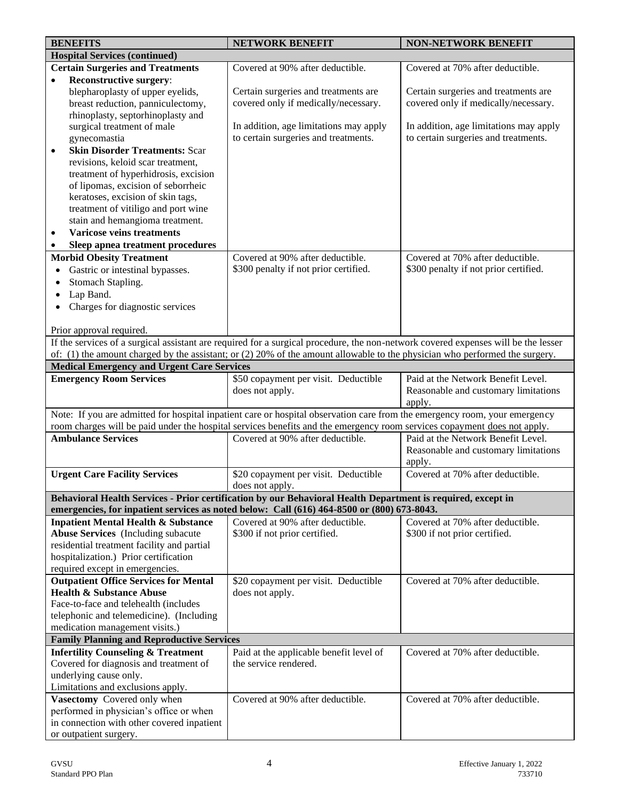|           | <b>BENEFITS</b>                                   | <b>NETWORK BENEFIT</b>                                                                                                                                       | <b>NON-NETWORK BENEFIT</b>             |
|-----------|---------------------------------------------------|--------------------------------------------------------------------------------------------------------------------------------------------------------------|----------------------------------------|
|           | <b>Hospital Services (continued)</b>              |                                                                                                                                                              |                                        |
|           | <b>Certain Surgeries and Treatments</b>           | Covered at 90% after deductible.                                                                                                                             | Covered at 70% after deductible.       |
| $\bullet$ | Reconstructive surgery:                           |                                                                                                                                                              |                                        |
|           | blepharoplasty of upper eyelids,                  | Certain surgeries and treatments are                                                                                                                         | Certain surgeries and treatments are   |
|           | breast reduction, panniculectomy,                 | covered only if medically/necessary.                                                                                                                         | covered only if medically/necessary.   |
|           | rhinoplasty, septorhinoplasty and                 |                                                                                                                                                              |                                        |
|           | surgical treatment of male                        | In addition, age limitations may apply                                                                                                                       | In addition, age limitations may apply |
|           | gynecomastia                                      | to certain surgeries and treatments.                                                                                                                         | to certain surgeries and treatments.   |
| $\bullet$ | <b>Skin Disorder Treatments: Scar</b>             |                                                                                                                                                              |                                        |
|           | revisions, keloid scar treatment,                 |                                                                                                                                                              |                                        |
|           | treatment of hyperhidrosis, excision              |                                                                                                                                                              |                                        |
|           | of lipomas, excision of seborrheic                |                                                                                                                                                              |                                        |
|           | keratoses, excision of skin tags,                 |                                                                                                                                                              |                                        |
|           | treatment of vitiligo and port wine               |                                                                                                                                                              |                                        |
|           | stain and hemangioma treatment.                   |                                                                                                                                                              |                                        |
| ٠         | <b>Varicose veins treatments</b>                  |                                                                                                                                                              |                                        |
| $\bullet$ | Sleep apnea treatment procedures                  |                                                                                                                                                              |                                        |
|           | <b>Morbid Obesity Treatment</b>                   | Covered at 90% after deductible.                                                                                                                             | Covered at 70% after deductible.       |
|           | Gastric or intestinal bypasses.                   | \$300 penalty if not prior certified.                                                                                                                        | \$300 penalty if not prior certified.  |
|           | Stomach Stapling.                                 |                                                                                                                                                              |                                        |
|           | Lap Band.                                         |                                                                                                                                                              |                                        |
|           | Charges for diagnostic services                   |                                                                                                                                                              |                                        |
|           |                                                   |                                                                                                                                                              |                                        |
|           | Prior approval required.                          |                                                                                                                                                              |                                        |
|           |                                                   | If the services of a surgical assistant are required for a surgical procedure, the non-network covered expenses will be the lesser                           |                                        |
|           |                                                   | of: (1) the amount charged by the assistant; or (2) 20% of the amount allowable to the physician who performed the surgery.                                  |                                        |
|           | <b>Medical Emergency and Urgent Care Services</b> |                                                                                                                                                              |                                        |
|           | <b>Emergency Room Services</b>                    | \$50 copayment per visit. Deductible                                                                                                                         | Paid at the Network Benefit Level.     |
|           |                                                   | does not apply.                                                                                                                                              | Reasonable and customary limitations   |
|           |                                                   |                                                                                                                                                              | apply.                                 |
|           |                                                   | Note: If you are admitted for hospital inpatient care or hospital observation care from the emergency room, your emergency                                   |                                        |
|           | <b>Ambulance Services</b>                         | room charges will be paid under the hospital services benefits and the emergency room services copayment does not apply.<br>Covered at 90% after deductible. | Paid at the Network Benefit Level.     |
|           |                                                   |                                                                                                                                                              | Reasonable and customary limitations   |
|           |                                                   |                                                                                                                                                              | apply.                                 |
|           | <b>Urgent Care Facility Services</b>              | \$20 copayment per visit. Deductible                                                                                                                         | Covered at 70% after deductible.       |
|           |                                                   | does not apply.                                                                                                                                              |                                        |
|           |                                                   | Behavioral Health Services - Prior certification by our Behavioral Health Department is required, except in                                                  |                                        |
|           |                                                   | emergencies, for inpatient services as noted below: Call (616) 464-8500 or (800) 673-8043.                                                                   |                                        |
|           | <b>Inpatient Mental Health &amp; Substance</b>    | Covered at 90% after deductible.                                                                                                                             | Covered at 70% after deductible.       |
|           | <b>Abuse Services</b> (Including subacute         | \$300 if not prior certified.                                                                                                                                | \$300 if not prior certified.          |
|           | residential treatment facility and partial        |                                                                                                                                                              |                                        |
|           | hospitalization.) Prior certification             |                                                                                                                                                              |                                        |
|           | required except in emergencies.                   |                                                                                                                                                              |                                        |
|           | <b>Outpatient Office Services for Mental</b>      | \$20 copayment per visit. Deductible                                                                                                                         | Covered at 70% after deductible.       |
|           | <b>Health &amp; Substance Abuse</b>               | does not apply.                                                                                                                                              |                                        |
|           | Face-to-face and telehealth (includes             |                                                                                                                                                              |                                        |
|           | telephonic and telemedicine). (Including          |                                                                                                                                                              |                                        |
|           | medication management visits.)                    |                                                                                                                                                              |                                        |
|           | <b>Family Planning and Reproductive Services</b>  |                                                                                                                                                              |                                        |
|           | <b>Infertility Counseling &amp; Treatment</b>     | Paid at the applicable benefit level of                                                                                                                      | Covered at 70% after deductible.       |
|           | Covered for diagnosis and treatment of            | the service rendered.                                                                                                                                        |                                        |
|           | underlying cause only.                            |                                                                                                                                                              |                                        |
|           | Limitations and exclusions apply.                 |                                                                                                                                                              |                                        |
|           | Vasectomy Covered only when                       | Covered at 90% after deductible.                                                                                                                             | Covered at 70% after deductible.       |
|           | performed in physician's office or when           |                                                                                                                                                              |                                        |
|           | in connection with other covered inpatient        |                                                                                                                                                              |                                        |
|           | or outpatient surgery.                            |                                                                                                                                                              |                                        |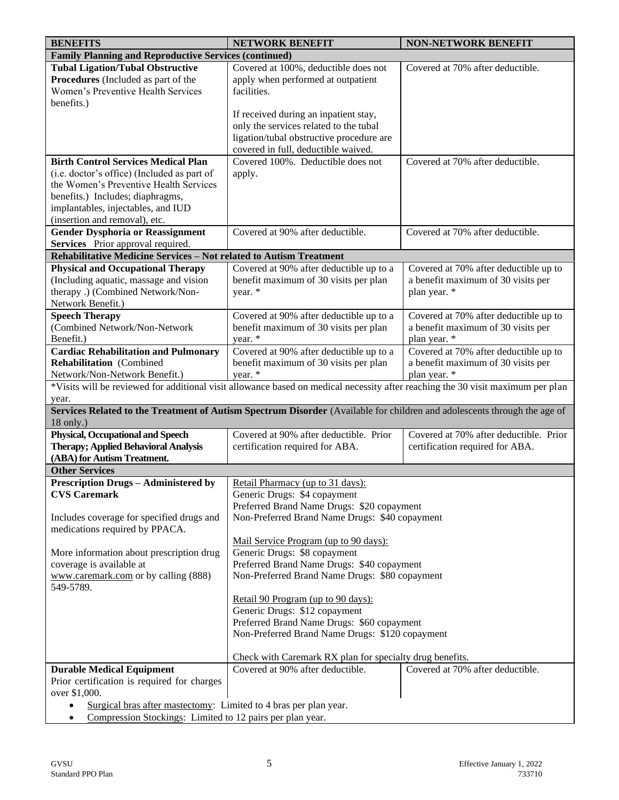| <b>Family Planning and Reproductive Services (continued)</b><br><b>Tubal Ligation/Tubal Obstructive</b><br>Covered at 100%, deductible does not<br>Covered at 70% after deductible.<br>Procedures (Included as part of the<br>apply when performed at outpatient<br>Women's Preventive Health Services<br>facilities.<br>benefits.)<br>If received during an inpatient stay,<br>only the services related to the tubal<br>ligation/tubal obstructive procedure are<br>covered in full, deductible waived.<br><b>Birth Control Services Medical Plan</b><br>Covered 100%. Deductible does not<br>Covered at 70% after deductible.<br>(i.e. doctor's office) (Included as part of<br>apply.<br>the Women's Preventive Health Services<br>benefits.) Includes; diaphragms,<br>implantables, injectables, and IUD<br>(insertion and removal), etc.<br><b>Gender Dysphoria or Reassignment</b><br>Covered at 90% after deductible.<br>Covered at 70% after deductible.<br>Services Prior approval required.<br>Rehabilitative Medicine Services - Not related to Autism Treatment<br><b>Physical and Occupational Therapy</b><br>Covered at 90% after deductible up to a<br>Covered at 70% after deductible up to<br>(Including aquatic, massage and vision<br>benefit maximum of 30 visits per plan<br>a benefit maximum of 30 visits per<br>therapy .) (Combined Network/Non-<br>plan year. *<br>year. *<br>Network Benefit.)<br><b>Speech Therapy</b><br>Covered at 90% after deductible up to a<br>Covered at 70% after deductible up to<br>(Combined Network/Non-Network<br>benefit maximum of 30 visits per plan<br>a benefit maximum of 30 visits per<br>year. *<br>Benefit.)<br>plan year. *<br><b>Cardiac Rehabilitation and Pulmonary</b><br>Covered at 90% after deductible up to a<br>Covered at 70% after deductible up to<br><b>Rehabilitation</b> (Combined<br>benefit maximum of 30 visits per plan<br>a benefit maximum of 30 visits per<br>Network/Non-Network Benefit.)<br>year. *<br>plan year. *<br>*Visits will be reviewed for additional visit allowance based on medical necessity after reaching the 30 visit maximum per plan<br>year.<br>Services Related to the Treatment of Autism Spectrum Disorder (Available for children and adolescents through the age of<br>$18$ only.)<br><b>Physical, Occupational and Speech</b><br>Covered at 90% after deductible. Prior<br>Covered at 70% after deductible. Prior<br><b>Therapy; Applied Behavioral Analysis</b><br>certification required for ABA.<br>certification required for ABA.<br>(ABA) for Autism Treatment.<br><b>Other Services</b><br><b>Prescription Drugs - Administered by</b><br>Retail Pharmacy (up to 31 days):<br><b>CVS Caremark</b><br>Generic Drugs: \$4 copayment<br>Preferred Brand Name Drugs: \$20 copayment<br>Non-Preferred Brand Name Drugs: \$40 copayment<br>Includes coverage for specified drugs and<br>medications required by PPACA.<br>Mail Service Program (up to 90 days):<br>Generic Drugs: \$8 copayment<br>More information about prescription drug<br>Preferred Brand Name Drugs: \$40 copayment<br>coverage is available at<br>www.caremark.com or by calling (888)<br>Non-Preferred Brand Name Drugs: \$80 copayment<br>549-5789.<br>Retail 90 Program (up to 90 days):<br>Generic Drugs: \$12 copayment<br>Preferred Brand Name Drugs: \$60 copayment<br>Non-Preferred Brand Name Drugs: \$120 copayment<br>Check with Caremark RX plan for specialty drug benefits.<br>Covered at 90% after deductible.<br>Covered at 70% after deductible.<br><b>Durable Medical Equipment</b><br>Prior certification is required for charges<br>over \$1,000.<br>Surgical bras after mastectomy: Limited to 4 bras per plan year.<br>Compression Stockings: Limited to 12 pairs per plan year. | <b>BENEFITS</b> | <b>NETWORK BENEFIT</b> | <b>NON-NETWORK BENEFIT</b> |  |
|------------------------------------------------------------------------------------------------------------------------------------------------------------------------------------------------------------------------------------------------------------------------------------------------------------------------------------------------------------------------------------------------------------------------------------------------------------------------------------------------------------------------------------------------------------------------------------------------------------------------------------------------------------------------------------------------------------------------------------------------------------------------------------------------------------------------------------------------------------------------------------------------------------------------------------------------------------------------------------------------------------------------------------------------------------------------------------------------------------------------------------------------------------------------------------------------------------------------------------------------------------------------------------------------------------------------------------------------------------------------------------------------------------------------------------------------------------------------------------------------------------------------------------------------------------------------------------------------------------------------------------------------------------------------------------------------------------------------------------------------------------------------------------------------------------------------------------------------------------------------------------------------------------------------------------------------------------------------------------------------------------------------------------------------------------------------------------------------------------------------------------------------------------------------------------------------------------------------------------------------------------------------------------------------------------------------------------------------------------------------------------------------------------------------------------------------------------------------------------------------------------------------------------------------------------------------------------------------------------------------------------------------------------------------------------------------------------------------------------------------------------------------------------------------------------------------------------------------------------------------------------------------------------------------------------------------------------------------------------------------------------------------------------------------------------------------------------------------------------------------------------------------------------------------------------------------------------------------------------------------------------------------------------------------------------------------------------------------------------------------------------------------------------------------------------------------------------------------------------------------------------------------------------------------------------------------------------------------------------------------------------------------------------------------------------------------------------------------------------------------------------------------------------------------------|-----------------|------------------------|----------------------------|--|
|                                                                                                                                                                                                                                                                                                                                                                                                                                                                                                                                                                                                                                                                                                                                                                                                                                                                                                                                                                                                                                                                                                                                                                                                                                                                                                                                                                                                                                                                                                                                                                                                                                                                                                                                                                                                                                                                                                                                                                                                                                                                                                                                                                                                                                                                                                                                                                                                                                                                                                                                                                                                                                                                                                                                                                                                                                                                                                                                                                                                                                                                                                                                                                                                                                                                                                                                                                                                                                                                                                                                                                                                                                                                                                                                                                                                      |                 |                        |                            |  |
|                                                                                                                                                                                                                                                                                                                                                                                                                                                                                                                                                                                                                                                                                                                                                                                                                                                                                                                                                                                                                                                                                                                                                                                                                                                                                                                                                                                                                                                                                                                                                                                                                                                                                                                                                                                                                                                                                                                                                                                                                                                                                                                                                                                                                                                                                                                                                                                                                                                                                                                                                                                                                                                                                                                                                                                                                                                                                                                                                                                                                                                                                                                                                                                                                                                                                                                                                                                                                                                                                                                                                                                                                                                                                                                                                                                                      |                 |                        |                            |  |
|                                                                                                                                                                                                                                                                                                                                                                                                                                                                                                                                                                                                                                                                                                                                                                                                                                                                                                                                                                                                                                                                                                                                                                                                                                                                                                                                                                                                                                                                                                                                                                                                                                                                                                                                                                                                                                                                                                                                                                                                                                                                                                                                                                                                                                                                                                                                                                                                                                                                                                                                                                                                                                                                                                                                                                                                                                                                                                                                                                                                                                                                                                                                                                                                                                                                                                                                                                                                                                                                                                                                                                                                                                                                                                                                                                                                      |                 |                        |                            |  |
|                                                                                                                                                                                                                                                                                                                                                                                                                                                                                                                                                                                                                                                                                                                                                                                                                                                                                                                                                                                                                                                                                                                                                                                                                                                                                                                                                                                                                                                                                                                                                                                                                                                                                                                                                                                                                                                                                                                                                                                                                                                                                                                                                                                                                                                                                                                                                                                                                                                                                                                                                                                                                                                                                                                                                                                                                                                                                                                                                                                                                                                                                                                                                                                                                                                                                                                                                                                                                                                                                                                                                                                                                                                                                                                                                                                                      |                 |                        |                            |  |
|                                                                                                                                                                                                                                                                                                                                                                                                                                                                                                                                                                                                                                                                                                                                                                                                                                                                                                                                                                                                                                                                                                                                                                                                                                                                                                                                                                                                                                                                                                                                                                                                                                                                                                                                                                                                                                                                                                                                                                                                                                                                                                                                                                                                                                                                                                                                                                                                                                                                                                                                                                                                                                                                                                                                                                                                                                                                                                                                                                                                                                                                                                                                                                                                                                                                                                                                                                                                                                                                                                                                                                                                                                                                                                                                                                                                      |                 |                        |                            |  |
|                                                                                                                                                                                                                                                                                                                                                                                                                                                                                                                                                                                                                                                                                                                                                                                                                                                                                                                                                                                                                                                                                                                                                                                                                                                                                                                                                                                                                                                                                                                                                                                                                                                                                                                                                                                                                                                                                                                                                                                                                                                                                                                                                                                                                                                                                                                                                                                                                                                                                                                                                                                                                                                                                                                                                                                                                                                                                                                                                                                                                                                                                                                                                                                                                                                                                                                                                                                                                                                                                                                                                                                                                                                                                                                                                                                                      |                 |                        |                            |  |
|                                                                                                                                                                                                                                                                                                                                                                                                                                                                                                                                                                                                                                                                                                                                                                                                                                                                                                                                                                                                                                                                                                                                                                                                                                                                                                                                                                                                                                                                                                                                                                                                                                                                                                                                                                                                                                                                                                                                                                                                                                                                                                                                                                                                                                                                                                                                                                                                                                                                                                                                                                                                                                                                                                                                                                                                                                                                                                                                                                                                                                                                                                                                                                                                                                                                                                                                                                                                                                                                                                                                                                                                                                                                                                                                                                                                      |                 |                        |                            |  |
|                                                                                                                                                                                                                                                                                                                                                                                                                                                                                                                                                                                                                                                                                                                                                                                                                                                                                                                                                                                                                                                                                                                                                                                                                                                                                                                                                                                                                                                                                                                                                                                                                                                                                                                                                                                                                                                                                                                                                                                                                                                                                                                                                                                                                                                                                                                                                                                                                                                                                                                                                                                                                                                                                                                                                                                                                                                                                                                                                                                                                                                                                                                                                                                                                                                                                                                                                                                                                                                                                                                                                                                                                                                                                                                                                                                                      |                 |                        |                            |  |
|                                                                                                                                                                                                                                                                                                                                                                                                                                                                                                                                                                                                                                                                                                                                                                                                                                                                                                                                                                                                                                                                                                                                                                                                                                                                                                                                                                                                                                                                                                                                                                                                                                                                                                                                                                                                                                                                                                                                                                                                                                                                                                                                                                                                                                                                                                                                                                                                                                                                                                                                                                                                                                                                                                                                                                                                                                                                                                                                                                                                                                                                                                                                                                                                                                                                                                                                                                                                                                                                                                                                                                                                                                                                                                                                                                                                      |                 |                        |                            |  |
|                                                                                                                                                                                                                                                                                                                                                                                                                                                                                                                                                                                                                                                                                                                                                                                                                                                                                                                                                                                                                                                                                                                                                                                                                                                                                                                                                                                                                                                                                                                                                                                                                                                                                                                                                                                                                                                                                                                                                                                                                                                                                                                                                                                                                                                                                                                                                                                                                                                                                                                                                                                                                                                                                                                                                                                                                                                                                                                                                                                                                                                                                                                                                                                                                                                                                                                                                                                                                                                                                                                                                                                                                                                                                                                                                                                                      |                 |                        |                            |  |
|                                                                                                                                                                                                                                                                                                                                                                                                                                                                                                                                                                                                                                                                                                                                                                                                                                                                                                                                                                                                                                                                                                                                                                                                                                                                                                                                                                                                                                                                                                                                                                                                                                                                                                                                                                                                                                                                                                                                                                                                                                                                                                                                                                                                                                                                                                                                                                                                                                                                                                                                                                                                                                                                                                                                                                                                                                                                                                                                                                                                                                                                                                                                                                                                                                                                                                                                                                                                                                                                                                                                                                                                                                                                                                                                                                                                      |                 |                        |                            |  |
|                                                                                                                                                                                                                                                                                                                                                                                                                                                                                                                                                                                                                                                                                                                                                                                                                                                                                                                                                                                                                                                                                                                                                                                                                                                                                                                                                                                                                                                                                                                                                                                                                                                                                                                                                                                                                                                                                                                                                                                                                                                                                                                                                                                                                                                                                                                                                                                                                                                                                                                                                                                                                                                                                                                                                                                                                                                                                                                                                                                                                                                                                                                                                                                                                                                                                                                                                                                                                                                                                                                                                                                                                                                                                                                                                                                                      |                 |                        |                            |  |
|                                                                                                                                                                                                                                                                                                                                                                                                                                                                                                                                                                                                                                                                                                                                                                                                                                                                                                                                                                                                                                                                                                                                                                                                                                                                                                                                                                                                                                                                                                                                                                                                                                                                                                                                                                                                                                                                                                                                                                                                                                                                                                                                                                                                                                                                                                                                                                                                                                                                                                                                                                                                                                                                                                                                                                                                                                                                                                                                                                                                                                                                                                                                                                                                                                                                                                                                                                                                                                                                                                                                                                                                                                                                                                                                                                                                      |                 |                        |                            |  |
|                                                                                                                                                                                                                                                                                                                                                                                                                                                                                                                                                                                                                                                                                                                                                                                                                                                                                                                                                                                                                                                                                                                                                                                                                                                                                                                                                                                                                                                                                                                                                                                                                                                                                                                                                                                                                                                                                                                                                                                                                                                                                                                                                                                                                                                                                                                                                                                                                                                                                                                                                                                                                                                                                                                                                                                                                                                                                                                                                                                                                                                                                                                                                                                                                                                                                                                                                                                                                                                                                                                                                                                                                                                                                                                                                                                                      |                 |                        |                            |  |
|                                                                                                                                                                                                                                                                                                                                                                                                                                                                                                                                                                                                                                                                                                                                                                                                                                                                                                                                                                                                                                                                                                                                                                                                                                                                                                                                                                                                                                                                                                                                                                                                                                                                                                                                                                                                                                                                                                                                                                                                                                                                                                                                                                                                                                                                                                                                                                                                                                                                                                                                                                                                                                                                                                                                                                                                                                                                                                                                                                                                                                                                                                                                                                                                                                                                                                                                                                                                                                                                                                                                                                                                                                                                                                                                                                                                      |                 |                        |                            |  |
|                                                                                                                                                                                                                                                                                                                                                                                                                                                                                                                                                                                                                                                                                                                                                                                                                                                                                                                                                                                                                                                                                                                                                                                                                                                                                                                                                                                                                                                                                                                                                                                                                                                                                                                                                                                                                                                                                                                                                                                                                                                                                                                                                                                                                                                                                                                                                                                                                                                                                                                                                                                                                                                                                                                                                                                                                                                                                                                                                                                                                                                                                                                                                                                                                                                                                                                                                                                                                                                                                                                                                                                                                                                                                                                                                                                                      |                 |                        |                            |  |
|                                                                                                                                                                                                                                                                                                                                                                                                                                                                                                                                                                                                                                                                                                                                                                                                                                                                                                                                                                                                                                                                                                                                                                                                                                                                                                                                                                                                                                                                                                                                                                                                                                                                                                                                                                                                                                                                                                                                                                                                                                                                                                                                                                                                                                                                                                                                                                                                                                                                                                                                                                                                                                                                                                                                                                                                                                                                                                                                                                                                                                                                                                                                                                                                                                                                                                                                                                                                                                                                                                                                                                                                                                                                                                                                                                                                      |                 |                        |                            |  |
|                                                                                                                                                                                                                                                                                                                                                                                                                                                                                                                                                                                                                                                                                                                                                                                                                                                                                                                                                                                                                                                                                                                                                                                                                                                                                                                                                                                                                                                                                                                                                                                                                                                                                                                                                                                                                                                                                                                                                                                                                                                                                                                                                                                                                                                                                                                                                                                                                                                                                                                                                                                                                                                                                                                                                                                                                                                                                                                                                                                                                                                                                                                                                                                                                                                                                                                                                                                                                                                                                                                                                                                                                                                                                                                                                                                                      |                 |                        |                            |  |
|                                                                                                                                                                                                                                                                                                                                                                                                                                                                                                                                                                                                                                                                                                                                                                                                                                                                                                                                                                                                                                                                                                                                                                                                                                                                                                                                                                                                                                                                                                                                                                                                                                                                                                                                                                                                                                                                                                                                                                                                                                                                                                                                                                                                                                                                                                                                                                                                                                                                                                                                                                                                                                                                                                                                                                                                                                                                                                                                                                                                                                                                                                                                                                                                                                                                                                                                                                                                                                                                                                                                                                                                                                                                                                                                                                                                      |                 |                        |                            |  |
|                                                                                                                                                                                                                                                                                                                                                                                                                                                                                                                                                                                                                                                                                                                                                                                                                                                                                                                                                                                                                                                                                                                                                                                                                                                                                                                                                                                                                                                                                                                                                                                                                                                                                                                                                                                                                                                                                                                                                                                                                                                                                                                                                                                                                                                                                                                                                                                                                                                                                                                                                                                                                                                                                                                                                                                                                                                                                                                                                                                                                                                                                                                                                                                                                                                                                                                                                                                                                                                                                                                                                                                                                                                                                                                                                                                                      |                 |                        |                            |  |
|                                                                                                                                                                                                                                                                                                                                                                                                                                                                                                                                                                                                                                                                                                                                                                                                                                                                                                                                                                                                                                                                                                                                                                                                                                                                                                                                                                                                                                                                                                                                                                                                                                                                                                                                                                                                                                                                                                                                                                                                                                                                                                                                                                                                                                                                                                                                                                                                                                                                                                                                                                                                                                                                                                                                                                                                                                                                                                                                                                                                                                                                                                                                                                                                                                                                                                                                                                                                                                                                                                                                                                                                                                                                                                                                                                                                      |                 |                        |                            |  |
|                                                                                                                                                                                                                                                                                                                                                                                                                                                                                                                                                                                                                                                                                                                                                                                                                                                                                                                                                                                                                                                                                                                                                                                                                                                                                                                                                                                                                                                                                                                                                                                                                                                                                                                                                                                                                                                                                                                                                                                                                                                                                                                                                                                                                                                                                                                                                                                                                                                                                                                                                                                                                                                                                                                                                                                                                                                                                                                                                                                                                                                                                                                                                                                                                                                                                                                                                                                                                                                                                                                                                                                                                                                                                                                                                                                                      |                 |                        |                            |  |
|                                                                                                                                                                                                                                                                                                                                                                                                                                                                                                                                                                                                                                                                                                                                                                                                                                                                                                                                                                                                                                                                                                                                                                                                                                                                                                                                                                                                                                                                                                                                                                                                                                                                                                                                                                                                                                                                                                                                                                                                                                                                                                                                                                                                                                                                                                                                                                                                                                                                                                                                                                                                                                                                                                                                                                                                                                                                                                                                                                                                                                                                                                                                                                                                                                                                                                                                                                                                                                                                                                                                                                                                                                                                                                                                                                                                      |                 |                        |                            |  |
|                                                                                                                                                                                                                                                                                                                                                                                                                                                                                                                                                                                                                                                                                                                                                                                                                                                                                                                                                                                                                                                                                                                                                                                                                                                                                                                                                                                                                                                                                                                                                                                                                                                                                                                                                                                                                                                                                                                                                                                                                                                                                                                                                                                                                                                                                                                                                                                                                                                                                                                                                                                                                                                                                                                                                                                                                                                                                                                                                                                                                                                                                                                                                                                                                                                                                                                                                                                                                                                                                                                                                                                                                                                                                                                                                                                                      |                 |                        |                            |  |
|                                                                                                                                                                                                                                                                                                                                                                                                                                                                                                                                                                                                                                                                                                                                                                                                                                                                                                                                                                                                                                                                                                                                                                                                                                                                                                                                                                                                                                                                                                                                                                                                                                                                                                                                                                                                                                                                                                                                                                                                                                                                                                                                                                                                                                                                                                                                                                                                                                                                                                                                                                                                                                                                                                                                                                                                                                                                                                                                                                                                                                                                                                                                                                                                                                                                                                                                                                                                                                                                                                                                                                                                                                                                                                                                                                                                      |                 |                        |                            |  |
|                                                                                                                                                                                                                                                                                                                                                                                                                                                                                                                                                                                                                                                                                                                                                                                                                                                                                                                                                                                                                                                                                                                                                                                                                                                                                                                                                                                                                                                                                                                                                                                                                                                                                                                                                                                                                                                                                                                                                                                                                                                                                                                                                                                                                                                                                                                                                                                                                                                                                                                                                                                                                                                                                                                                                                                                                                                                                                                                                                                                                                                                                                                                                                                                                                                                                                                                                                                                                                                                                                                                                                                                                                                                                                                                                                                                      |                 |                        |                            |  |
|                                                                                                                                                                                                                                                                                                                                                                                                                                                                                                                                                                                                                                                                                                                                                                                                                                                                                                                                                                                                                                                                                                                                                                                                                                                                                                                                                                                                                                                                                                                                                                                                                                                                                                                                                                                                                                                                                                                                                                                                                                                                                                                                                                                                                                                                                                                                                                                                                                                                                                                                                                                                                                                                                                                                                                                                                                                                                                                                                                                                                                                                                                                                                                                                                                                                                                                                                                                                                                                                                                                                                                                                                                                                                                                                                                                                      |                 |                        |                            |  |
|                                                                                                                                                                                                                                                                                                                                                                                                                                                                                                                                                                                                                                                                                                                                                                                                                                                                                                                                                                                                                                                                                                                                                                                                                                                                                                                                                                                                                                                                                                                                                                                                                                                                                                                                                                                                                                                                                                                                                                                                                                                                                                                                                                                                                                                                                                                                                                                                                                                                                                                                                                                                                                                                                                                                                                                                                                                                                                                                                                                                                                                                                                                                                                                                                                                                                                                                                                                                                                                                                                                                                                                                                                                                                                                                                                                                      |                 |                        |                            |  |
|                                                                                                                                                                                                                                                                                                                                                                                                                                                                                                                                                                                                                                                                                                                                                                                                                                                                                                                                                                                                                                                                                                                                                                                                                                                                                                                                                                                                                                                                                                                                                                                                                                                                                                                                                                                                                                                                                                                                                                                                                                                                                                                                                                                                                                                                                                                                                                                                                                                                                                                                                                                                                                                                                                                                                                                                                                                                                                                                                                                                                                                                                                                                                                                                                                                                                                                                                                                                                                                                                                                                                                                                                                                                                                                                                                                                      |                 |                        |                            |  |
|                                                                                                                                                                                                                                                                                                                                                                                                                                                                                                                                                                                                                                                                                                                                                                                                                                                                                                                                                                                                                                                                                                                                                                                                                                                                                                                                                                                                                                                                                                                                                                                                                                                                                                                                                                                                                                                                                                                                                                                                                                                                                                                                                                                                                                                                                                                                                                                                                                                                                                                                                                                                                                                                                                                                                                                                                                                                                                                                                                                                                                                                                                                                                                                                                                                                                                                                                                                                                                                                                                                                                                                                                                                                                                                                                                                                      |                 |                        |                            |  |
|                                                                                                                                                                                                                                                                                                                                                                                                                                                                                                                                                                                                                                                                                                                                                                                                                                                                                                                                                                                                                                                                                                                                                                                                                                                                                                                                                                                                                                                                                                                                                                                                                                                                                                                                                                                                                                                                                                                                                                                                                                                                                                                                                                                                                                                                                                                                                                                                                                                                                                                                                                                                                                                                                                                                                                                                                                                                                                                                                                                                                                                                                                                                                                                                                                                                                                                                                                                                                                                                                                                                                                                                                                                                                                                                                                                                      |                 |                        |                            |  |
|                                                                                                                                                                                                                                                                                                                                                                                                                                                                                                                                                                                                                                                                                                                                                                                                                                                                                                                                                                                                                                                                                                                                                                                                                                                                                                                                                                                                                                                                                                                                                                                                                                                                                                                                                                                                                                                                                                                                                                                                                                                                                                                                                                                                                                                                                                                                                                                                                                                                                                                                                                                                                                                                                                                                                                                                                                                                                                                                                                                                                                                                                                                                                                                                                                                                                                                                                                                                                                                                                                                                                                                                                                                                                                                                                                                                      |                 |                        |                            |  |
|                                                                                                                                                                                                                                                                                                                                                                                                                                                                                                                                                                                                                                                                                                                                                                                                                                                                                                                                                                                                                                                                                                                                                                                                                                                                                                                                                                                                                                                                                                                                                                                                                                                                                                                                                                                                                                                                                                                                                                                                                                                                                                                                                                                                                                                                                                                                                                                                                                                                                                                                                                                                                                                                                                                                                                                                                                                                                                                                                                                                                                                                                                                                                                                                                                                                                                                                                                                                                                                                                                                                                                                                                                                                                                                                                                                                      |                 |                        |                            |  |
|                                                                                                                                                                                                                                                                                                                                                                                                                                                                                                                                                                                                                                                                                                                                                                                                                                                                                                                                                                                                                                                                                                                                                                                                                                                                                                                                                                                                                                                                                                                                                                                                                                                                                                                                                                                                                                                                                                                                                                                                                                                                                                                                                                                                                                                                                                                                                                                                                                                                                                                                                                                                                                                                                                                                                                                                                                                                                                                                                                                                                                                                                                                                                                                                                                                                                                                                                                                                                                                                                                                                                                                                                                                                                                                                                                                                      |                 |                        |                            |  |
|                                                                                                                                                                                                                                                                                                                                                                                                                                                                                                                                                                                                                                                                                                                                                                                                                                                                                                                                                                                                                                                                                                                                                                                                                                                                                                                                                                                                                                                                                                                                                                                                                                                                                                                                                                                                                                                                                                                                                                                                                                                                                                                                                                                                                                                                                                                                                                                                                                                                                                                                                                                                                                                                                                                                                                                                                                                                                                                                                                                                                                                                                                                                                                                                                                                                                                                                                                                                                                                                                                                                                                                                                                                                                                                                                                                                      |                 |                        |                            |  |
|                                                                                                                                                                                                                                                                                                                                                                                                                                                                                                                                                                                                                                                                                                                                                                                                                                                                                                                                                                                                                                                                                                                                                                                                                                                                                                                                                                                                                                                                                                                                                                                                                                                                                                                                                                                                                                                                                                                                                                                                                                                                                                                                                                                                                                                                                                                                                                                                                                                                                                                                                                                                                                                                                                                                                                                                                                                                                                                                                                                                                                                                                                                                                                                                                                                                                                                                                                                                                                                                                                                                                                                                                                                                                                                                                                                                      |                 |                        |                            |  |
|                                                                                                                                                                                                                                                                                                                                                                                                                                                                                                                                                                                                                                                                                                                                                                                                                                                                                                                                                                                                                                                                                                                                                                                                                                                                                                                                                                                                                                                                                                                                                                                                                                                                                                                                                                                                                                                                                                                                                                                                                                                                                                                                                                                                                                                                                                                                                                                                                                                                                                                                                                                                                                                                                                                                                                                                                                                                                                                                                                                                                                                                                                                                                                                                                                                                                                                                                                                                                                                                                                                                                                                                                                                                                                                                                                                                      |                 |                        |                            |  |
|                                                                                                                                                                                                                                                                                                                                                                                                                                                                                                                                                                                                                                                                                                                                                                                                                                                                                                                                                                                                                                                                                                                                                                                                                                                                                                                                                                                                                                                                                                                                                                                                                                                                                                                                                                                                                                                                                                                                                                                                                                                                                                                                                                                                                                                                                                                                                                                                                                                                                                                                                                                                                                                                                                                                                                                                                                                                                                                                                                                                                                                                                                                                                                                                                                                                                                                                                                                                                                                                                                                                                                                                                                                                                                                                                                                                      |                 |                        |                            |  |
|                                                                                                                                                                                                                                                                                                                                                                                                                                                                                                                                                                                                                                                                                                                                                                                                                                                                                                                                                                                                                                                                                                                                                                                                                                                                                                                                                                                                                                                                                                                                                                                                                                                                                                                                                                                                                                                                                                                                                                                                                                                                                                                                                                                                                                                                                                                                                                                                                                                                                                                                                                                                                                                                                                                                                                                                                                                                                                                                                                                                                                                                                                                                                                                                                                                                                                                                                                                                                                                                                                                                                                                                                                                                                                                                                                                                      |                 |                        |                            |  |
|                                                                                                                                                                                                                                                                                                                                                                                                                                                                                                                                                                                                                                                                                                                                                                                                                                                                                                                                                                                                                                                                                                                                                                                                                                                                                                                                                                                                                                                                                                                                                                                                                                                                                                                                                                                                                                                                                                                                                                                                                                                                                                                                                                                                                                                                                                                                                                                                                                                                                                                                                                                                                                                                                                                                                                                                                                                                                                                                                                                                                                                                                                                                                                                                                                                                                                                                                                                                                                                                                                                                                                                                                                                                                                                                                                                                      |                 |                        |                            |  |
|                                                                                                                                                                                                                                                                                                                                                                                                                                                                                                                                                                                                                                                                                                                                                                                                                                                                                                                                                                                                                                                                                                                                                                                                                                                                                                                                                                                                                                                                                                                                                                                                                                                                                                                                                                                                                                                                                                                                                                                                                                                                                                                                                                                                                                                                                                                                                                                                                                                                                                                                                                                                                                                                                                                                                                                                                                                                                                                                                                                                                                                                                                                                                                                                                                                                                                                                                                                                                                                                                                                                                                                                                                                                                                                                                                                                      |                 |                        |                            |  |
|                                                                                                                                                                                                                                                                                                                                                                                                                                                                                                                                                                                                                                                                                                                                                                                                                                                                                                                                                                                                                                                                                                                                                                                                                                                                                                                                                                                                                                                                                                                                                                                                                                                                                                                                                                                                                                                                                                                                                                                                                                                                                                                                                                                                                                                                                                                                                                                                                                                                                                                                                                                                                                                                                                                                                                                                                                                                                                                                                                                                                                                                                                                                                                                                                                                                                                                                                                                                                                                                                                                                                                                                                                                                                                                                                                                                      |                 |                        |                            |  |
|                                                                                                                                                                                                                                                                                                                                                                                                                                                                                                                                                                                                                                                                                                                                                                                                                                                                                                                                                                                                                                                                                                                                                                                                                                                                                                                                                                                                                                                                                                                                                                                                                                                                                                                                                                                                                                                                                                                                                                                                                                                                                                                                                                                                                                                                                                                                                                                                                                                                                                                                                                                                                                                                                                                                                                                                                                                                                                                                                                                                                                                                                                                                                                                                                                                                                                                                                                                                                                                                                                                                                                                                                                                                                                                                                                                                      |                 |                        |                            |  |
|                                                                                                                                                                                                                                                                                                                                                                                                                                                                                                                                                                                                                                                                                                                                                                                                                                                                                                                                                                                                                                                                                                                                                                                                                                                                                                                                                                                                                                                                                                                                                                                                                                                                                                                                                                                                                                                                                                                                                                                                                                                                                                                                                                                                                                                                                                                                                                                                                                                                                                                                                                                                                                                                                                                                                                                                                                                                                                                                                                                                                                                                                                                                                                                                                                                                                                                                                                                                                                                                                                                                                                                                                                                                                                                                                                                                      |                 |                        |                            |  |
|                                                                                                                                                                                                                                                                                                                                                                                                                                                                                                                                                                                                                                                                                                                                                                                                                                                                                                                                                                                                                                                                                                                                                                                                                                                                                                                                                                                                                                                                                                                                                                                                                                                                                                                                                                                                                                                                                                                                                                                                                                                                                                                                                                                                                                                                                                                                                                                                                                                                                                                                                                                                                                                                                                                                                                                                                                                                                                                                                                                                                                                                                                                                                                                                                                                                                                                                                                                                                                                                                                                                                                                                                                                                                                                                                                                                      |                 |                        |                            |  |
|                                                                                                                                                                                                                                                                                                                                                                                                                                                                                                                                                                                                                                                                                                                                                                                                                                                                                                                                                                                                                                                                                                                                                                                                                                                                                                                                                                                                                                                                                                                                                                                                                                                                                                                                                                                                                                                                                                                                                                                                                                                                                                                                                                                                                                                                                                                                                                                                                                                                                                                                                                                                                                                                                                                                                                                                                                                                                                                                                                                                                                                                                                                                                                                                                                                                                                                                                                                                                                                                                                                                                                                                                                                                                                                                                                                                      |                 |                        |                            |  |
|                                                                                                                                                                                                                                                                                                                                                                                                                                                                                                                                                                                                                                                                                                                                                                                                                                                                                                                                                                                                                                                                                                                                                                                                                                                                                                                                                                                                                                                                                                                                                                                                                                                                                                                                                                                                                                                                                                                                                                                                                                                                                                                                                                                                                                                                                                                                                                                                                                                                                                                                                                                                                                                                                                                                                                                                                                                                                                                                                                                                                                                                                                                                                                                                                                                                                                                                                                                                                                                                                                                                                                                                                                                                                                                                                                                                      |                 |                        |                            |  |
|                                                                                                                                                                                                                                                                                                                                                                                                                                                                                                                                                                                                                                                                                                                                                                                                                                                                                                                                                                                                                                                                                                                                                                                                                                                                                                                                                                                                                                                                                                                                                                                                                                                                                                                                                                                                                                                                                                                                                                                                                                                                                                                                                                                                                                                                                                                                                                                                                                                                                                                                                                                                                                                                                                                                                                                                                                                                                                                                                                                                                                                                                                                                                                                                                                                                                                                                                                                                                                                                                                                                                                                                                                                                                                                                                                                                      |                 |                        |                            |  |
|                                                                                                                                                                                                                                                                                                                                                                                                                                                                                                                                                                                                                                                                                                                                                                                                                                                                                                                                                                                                                                                                                                                                                                                                                                                                                                                                                                                                                                                                                                                                                                                                                                                                                                                                                                                                                                                                                                                                                                                                                                                                                                                                                                                                                                                                                                                                                                                                                                                                                                                                                                                                                                                                                                                                                                                                                                                                                                                                                                                                                                                                                                                                                                                                                                                                                                                                                                                                                                                                                                                                                                                                                                                                                                                                                                                                      |                 |                        |                            |  |
|                                                                                                                                                                                                                                                                                                                                                                                                                                                                                                                                                                                                                                                                                                                                                                                                                                                                                                                                                                                                                                                                                                                                                                                                                                                                                                                                                                                                                                                                                                                                                                                                                                                                                                                                                                                                                                                                                                                                                                                                                                                                                                                                                                                                                                                                                                                                                                                                                                                                                                                                                                                                                                                                                                                                                                                                                                                                                                                                                                                                                                                                                                                                                                                                                                                                                                                                                                                                                                                                                                                                                                                                                                                                                                                                                                                                      |                 |                        |                            |  |
|                                                                                                                                                                                                                                                                                                                                                                                                                                                                                                                                                                                                                                                                                                                                                                                                                                                                                                                                                                                                                                                                                                                                                                                                                                                                                                                                                                                                                                                                                                                                                                                                                                                                                                                                                                                                                                                                                                                                                                                                                                                                                                                                                                                                                                                                                                                                                                                                                                                                                                                                                                                                                                                                                                                                                                                                                                                                                                                                                                                                                                                                                                                                                                                                                                                                                                                                                                                                                                                                                                                                                                                                                                                                                                                                                                                                      |                 |                        |                            |  |
|                                                                                                                                                                                                                                                                                                                                                                                                                                                                                                                                                                                                                                                                                                                                                                                                                                                                                                                                                                                                                                                                                                                                                                                                                                                                                                                                                                                                                                                                                                                                                                                                                                                                                                                                                                                                                                                                                                                                                                                                                                                                                                                                                                                                                                                                                                                                                                                                                                                                                                                                                                                                                                                                                                                                                                                                                                                                                                                                                                                                                                                                                                                                                                                                                                                                                                                                                                                                                                                                                                                                                                                                                                                                                                                                                                                                      |                 |                        |                            |  |
|                                                                                                                                                                                                                                                                                                                                                                                                                                                                                                                                                                                                                                                                                                                                                                                                                                                                                                                                                                                                                                                                                                                                                                                                                                                                                                                                                                                                                                                                                                                                                                                                                                                                                                                                                                                                                                                                                                                                                                                                                                                                                                                                                                                                                                                                                                                                                                                                                                                                                                                                                                                                                                                                                                                                                                                                                                                                                                                                                                                                                                                                                                                                                                                                                                                                                                                                                                                                                                                                                                                                                                                                                                                                                                                                                                                                      |                 |                        |                            |  |
|                                                                                                                                                                                                                                                                                                                                                                                                                                                                                                                                                                                                                                                                                                                                                                                                                                                                                                                                                                                                                                                                                                                                                                                                                                                                                                                                                                                                                                                                                                                                                                                                                                                                                                                                                                                                                                                                                                                                                                                                                                                                                                                                                                                                                                                                                                                                                                                                                                                                                                                                                                                                                                                                                                                                                                                                                                                                                                                                                                                                                                                                                                                                                                                                                                                                                                                                                                                                                                                                                                                                                                                                                                                                                                                                                                                                      |                 |                        |                            |  |
|                                                                                                                                                                                                                                                                                                                                                                                                                                                                                                                                                                                                                                                                                                                                                                                                                                                                                                                                                                                                                                                                                                                                                                                                                                                                                                                                                                                                                                                                                                                                                                                                                                                                                                                                                                                                                                                                                                                                                                                                                                                                                                                                                                                                                                                                                                                                                                                                                                                                                                                                                                                                                                                                                                                                                                                                                                                                                                                                                                                                                                                                                                                                                                                                                                                                                                                                                                                                                                                                                                                                                                                                                                                                                                                                                                                                      |                 |                        |                            |  |
|                                                                                                                                                                                                                                                                                                                                                                                                                                                                                                                                                                                                                                                                                                                                                                                                                                                                                                                                                                                                                                                                                                                                                                                                                                                                                                                                                                                                                                                                                                                                                                                                                                                                                                                                                                                                                                                                                                                                                                                                                                                                                                                                                                                                                                                                                                                                                                                                                                                                                                                                                                                                                                                                                                                                                                                                                                                                                                                                                                                                                                                                                                                                                                                                                                                                                                                                                                                                                                                                                                                                                                                                                                                                                                                                                                                                      |                 |                        |                            |  |
|                                                                                                                                                                                                                                                                                                                                                                                                                                                                                                                                                                                                                                                                                                                                                                                                                                                                                                                                                                                                                                                                                                                                                                                                                                                                                                                                                                                                                                                                                                                                                                                                                                                                                                                                                                                                                                                                                                                                                                                                                                                                                                                                                                                                                                                                                                                                                                                                                                                                                                                                                                                                                                                                                                                                                                                                                                                                                                                                                                                                                                                                                                                                                                                                                                                                                                                                                                                                                                                                                                                                                                                                                                                                                                                                                                                                      |                 |                        |                            |  |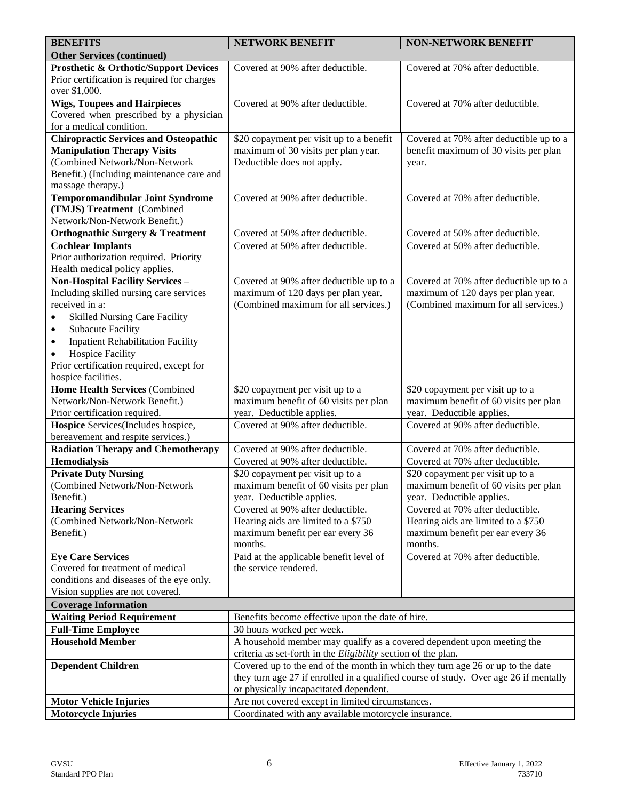| <b>BENEFITS</b>                                              | <b>NETWORK BENEFIT</b>                                                               | <b>NON-NETWORK BENEFIT</b>                                                |
|--------------------------------------------------------------|--------------------------------------------------------------------------------------|---------------------------------------------------------------------------|
| <b>Other Services (continued)</b>                            |                                                                                      |                                                                           |
| <b>Prosthetic &amp; Orthotic/Support Devices</b>             | Covered at 90% after deductible.                                                     | Covered at 70% after deductible.                                          |
| Prior certification is required for charges                  |                                                                                      |                                                                           |
| over \$1,000.                                                |                                                                                      |                                                                           |
| <b>Wigs, Toupees and Hairpieces</b>                          | Covered at 90% after deductible.                                                     | Covered at 70% after deductible.                                          |
| Covered when prescribed by a physician                       |                                                                                      |                                                                           |
| for a medical condition.                                     |                                                                                      |                                                                           |
| <b>Chiropractic Services and Osteopathic</b>                 | \$20 copayment per visit up to a benefit                                             | Covered at 70% after deductible up to a                                   |
| <b>Manipulation Therapy Visits</b>                           | maximum of 30 visits per plan year.                                                  | benefit maximum of 30 visits per plan                                     |
| (Combined Network/Non-Network                                | Deductible does not apply.                                                           | year.                                                                     |
| Benefit.) (Including maintenance care and                    |                                                                                      |                                                                           |
| massage therapy.)                                            |                                                                                      |                                                                           |
| <b>Temporomandibular Joint Syndrome</b>                      | Covered at 90% after deductible.                                                     | Covered at 70% after deductible.                                          |
| (TMJS) Treatment (Combined                                   |                                                                                      |                                                                           |
| Network/Non-Network Benefit.)                                |                                                                                      |                                                                           |
| <b>Orthognathic Surgery &amp; Treatment</b>                  | Covered at 50% after deductible.                                                     | Covered at 50% after deductible.                                          |
| <b>Cochlear Implants</b>                                     | Covered at 50% after deductible.                                                     | Covered at 50% after deductible.                                          |
| Prior authorization required. Priority                       |                                                                                      |                                                                           |
| Health medical policy applies.                               |                                                                                      |                                                                           |
| <b>Non-Hospital Facility Services -</b>                      | Covered at 90% after deductible up to a                                              | Covered at 70% after deductible up to a                                   |
| Including skilled nursing care services                      | maximum of 120 days per plan year.                                                   | maximum of 120 days per plan year.                                        |
| received in a:                                               | (Combined maximum for all services.)                                                 | (Combined maximum for all services.)                                      |
| <b>Skilled Nursing Care Facility</b><br>٠                    |                                                                                      |                                                                           |
| <b>Subacute Facility</b><br>$\bullet$                        |                                                                                      |                                                                           |
| <b>Inpatient Rehabilitation Facility</b><br>$\bullet$        |                                                                                      |                                                                           |
| <b>Hospice Facility</b><br>$\bullet$                         |                                                                                      |                                                                           |
| Prior certification required, except for                     |                                                                                      |                                                                           |
| hospice facilities.<br><b>Home Health Services (Combined</b> |                                                                                      |                                                                           |
| Network/Non-Network Benefit.)                                | \$20 copayment per visit up to a<br>maximum benefit of 60 visits per plan            | \$20 copayment per visit up to a<br>maximum benefit of 60 visits per plan |
| Prior certification required.                                | year. Deductible applies.                                                            | year. Deductible applies.                                                 |
| Hospice Services(Includes hospice,                           | Covered at 90% after deductible.                                                     | Covered at 90% after deductible.                                          |
| bereavement and respite services.)                           |                                                                                      |                                                                           |
| <b>Radiation Therapy and Chemotherapy</b>                    | Covered at 90% after deductible.                                                     | Covered at 70% after deductible.                                          |
| <b>Hemodialysis</b>                                          | Covered at 90% after deductible.                                                     | Covered at 70% after deductible.                                          |
| <b>Private Duty Nursing</b>                                  | \$20 copayment per visit up to a                                                     | \$20 copayment per visit up to a                                          |
| (Combined Network/Non-Network                                | maximum benefit of 60 visits per plan                                                | maximum benefit of 60 visits per plan                                     |
| Benefit.)                                                    | year. Deductible applies.                                                            | year. Deductible applies.                                                 |
| <b>Hearing Services</b>                                      | Covered at 90% after deductible.                                                     | Covered at 70% after deductible.                                          |
| (Combined Network/Non-Network                                | Hearing aids are limited to a \$750                                                  | Hearing aids are limited to a \$750                                       |
| Benefit.)                                                    | maximum benefit per ear every 36                                                     | maximum benefit per ear every 36                                          |
|                                                              | months.                                                                              | months.                                                                   |
| <b>Eye Care Services</b>                                     | Paid at the applicable benefit level of                                              | Covered at 70% after deductible.                                          |
| Covered for treatment of medical                             | the service rendered.                                                                |                                                                           |
| conditions and diseases of the eye only.                     |                                                                                      |                                                                           |
| Vision supplies are not covered.                             |                                                                                      |                                                                           |
| <b>Coverage Information</b>                                  |                                                                                      |                                                                           |
| <b>Waiting Period Requirement</b>                            | Benefits become effective upon the date of hire.                                     |                                                                           |
| <b>Full-Time Employee</b>                                    | 30 hours worked per week.                                                            |                                                                           |
| <b>Household Member</b>                                      | A household member may qualify as a covered dependent upon meeting the               |                                                                           |
|                                                              | criteria as set-forth in the <i>Eligibility</i> section of the plan.                 |                                                                           |
| <b>Dependent Children</b>                                    | Covered up to the end of the month in which they turn age 26 or up to the date       |                                                                           |
|                                                              | they turn age 27 if enrolled in a qualified course of study. Over age 26 if mentally |                                                                           |
|                                                              | or physically incapacitated dependent.                                               |                                                                           |
| <b>Motor Vehicle Injuries</b>                                | Are not covered except in limited circumstances.                                     |                                                                           |
| <b>Motorcycle Injuries</b>                                   | Coordinated with any available motorcycle insurance.                                 |                                                                           |